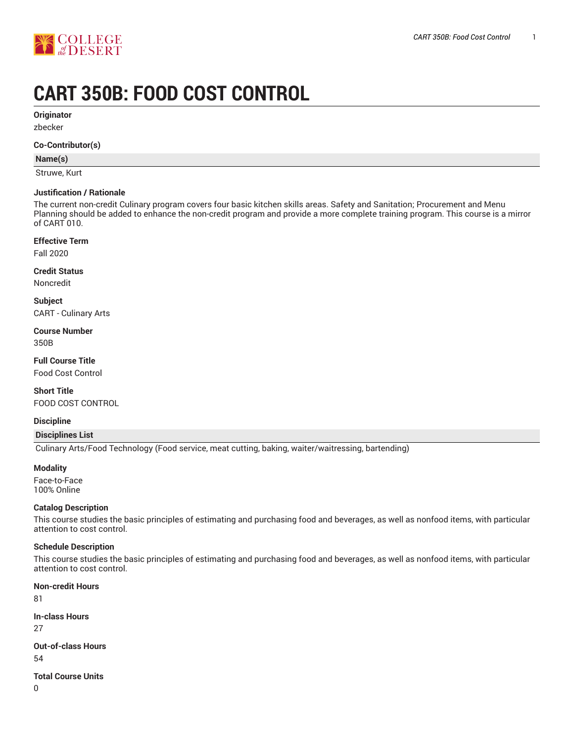

# **CART 350B: FOOD COST CONTROL**

**Originator**

zbecker

#### **Co-Contributor(s)**

### **Name(s)**

Struwe, Kurt

#### **Justification / Rationale**

The current non-credit Culinary program covers four basic kitchen skills areas. Safety and Sanitation; Procurement and Menu Planning should be added to enhance the non-credit program and provide a more complete training program. This course is a mirror of CART 010.

#### **Effective Term**

Fall 2020

#### **Credit Status**

Noncredit

**Subject** CART - Culinary Arts

# **Course Number**

350B

**Full Course Title** Food Cost Control

**Short Title** FOOD COST CONTROL

## **Discipline**

#### **Disciplines List**

Culinary Arts/Food Technology (Food service, meat cutting, baking, waiter/waitressing, bartending)

#### **Modality**

Face-to-Face 100% Online

#### **Catalog Description**

This course studies the basic principles of estimating and purchasing food and beverages, as well as nonfood items, with particular attention to cost control.

## **Schedule Description**

This course studies the basic principles of estimating and purchasing food and beverages, as well as nonfood items, with particular attention to cost control.

# **Non-credit Hours**

81

**In-class Hours**

27

**Out-of-class Hours** 54

**Total Course Units**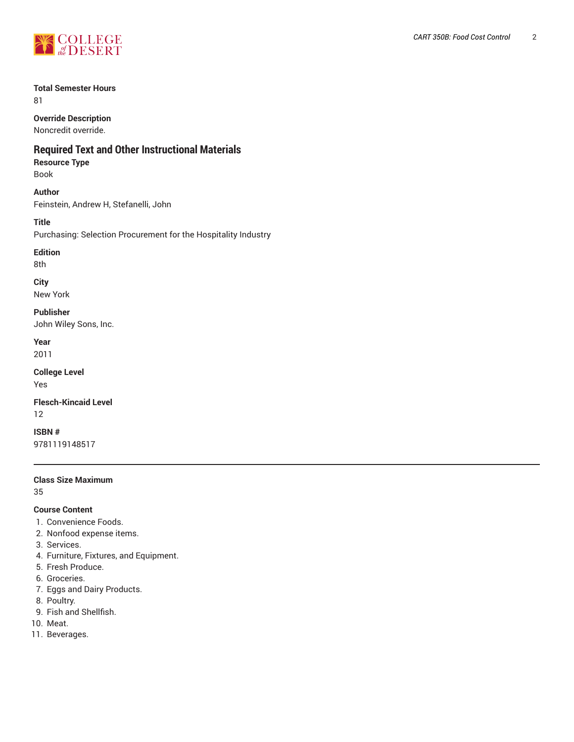

# **Total Semester Hours**

81

**Override Description**

Noncredit override.

# **Required Text and Other Instructional Materials**

# **Resource Type**

Book

**Author**

Feinstein, Andrew H, Stefanelli, John

**Title**

Purchasing: Selection Procurement for the Hospitality Industry

# **Edition**

8th

**City**

New York

**Publisher**

John Wiley Sons, Inc.

**Year**

2011

**College Level** Yes

**Flesch-Kincaid Level** 12

**ISBN #** 9781119148517

## **Class Size Maximum**

35

# **Course Content**

- 1. Convenience Foods.
- 2. Nonfood expense items.
- 3. Services.
- 4. Furniture, Fixtures, and Equipment.
- 5. Fresh Produce.
- 6. Groceries.
- 7. Eggs and Dairy Products.
- 8. Poultry.
- 9. Fish and Shellfish.
- 10. Meat.
- 11. Beverages.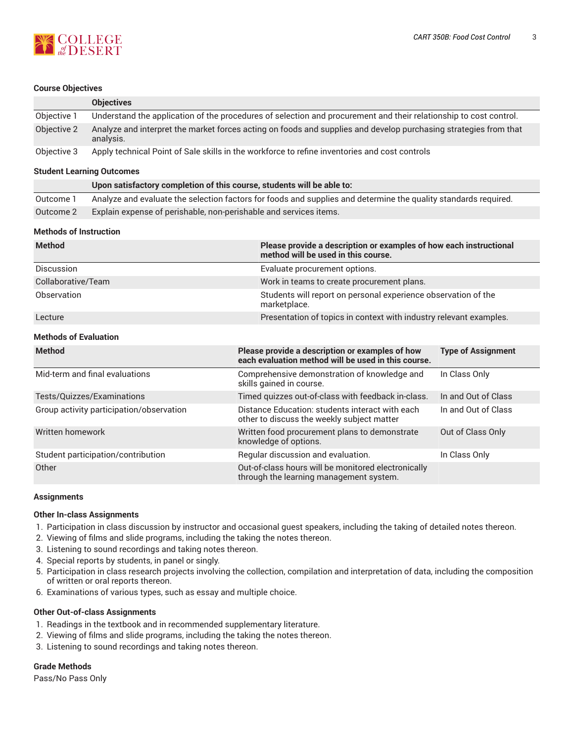#### **Course Objectives**

**COLLEGE**<br>*de* DESERT

|                                          | <b>Objectives</b>                                                                                                             |                                                                                                           |                           |  |
|------------------------------------------|-------------------------------------------------------------------------------------------------------------------------------|-----------------------------------------------------------------------------------------------------------|---------------------------|--|
| Objective 1                              | Understand the application of the procedures of selection and procurement and their relationship to cost control.             |                                                                                                           |                           |  |
| Objective 2                              | Analyze and interpret the market forces acting on foods and supplies and develop purchasing strategies from that<br>analysis. |                                                                                                           |                           |  |
| Objective 3                              | Apply technical Point of Sale skills in the workforce to refine inventories and cost controls                                 |                                                                                                           |                           |  |
| <b>Student Learning Outcomes</b>         |                                                                                                                               |                                                                                                           |                           |  |
|                                          | Upon satisfactory completion of this course, students will be able to:                                                        |                                                                                                           |                           |  |
| Outcome 1                                | Analyze and evaluate the selection factors for foods and supplies and determine the quality standards required.               |                                                                                                           |                           |  |
| Outcome 2                                |                                                                                                                               | Explain expense of perishable, non-perishable and services items.                                         |                           |  |
| <b>Methods of Instruction</b>            |                                                                                                                               |                                                                                                           |                           |  |
| <b>Method</b>                            |                                                                                                                               | Please provide a description or examples of how each instructional<br>method will be used in this course. |                           |  |
| Discussion                               |                                                                                                                               | Evaluate procurement options.                                                                             |                           |  |
| Collaborative/Team                       |                                                                                                                               | Work in teams to create procurement plans.                                                                |                           |  |
| Observation                              |                                                                                                                               | Students will report on personal experience observation of the<br>marketplace.                            |                           |  |
| Lecture                                  |                                                                                                                               | Presentation of topics in context with industry relevant examples.                                        |                           |  |
| <b>Methods of Evaluation</b>             |                                                                                                                               |                                                                                                           |                           |  |
| <b>Method</b>                            |                                                                                                                               | Please provide a description or examples of how<br>each evaluation method will be used in this course.    | <b>Type of Assignment</b> |  |
| Mid-term and final evaluations           |                                                                                                                               | Comprehensive demonstration of knowledge and<br>skills gained in course.                                  | In Class Only             |  |
| Tests/Quizzes/Examinations               |                                                                                                                               | Timed quizzes out-of-class with feedback in-class.                                                        | In and Out of Class       |  |
| Group activity participation/observation |                                                                                                                               | Distance Education: students interact with each<br>other to discuss the weekly subject matter             | In and Out of Class       |  |
| Written homework                         |                                                                                                                               | Written food procurement plans to demonstrate<br>knowledge of options.                                    | Out of Class Only         |  |
| Student participation/contribution       |                                                                                                                               | Regular discussion and evaluation.                                                                        | In Class Only             |  |
| Other                                    |                                                                                                                               | Out-of-class hours will be monitored electronically<br>through the learning management system.            |                           |  |

#### **Assignments**

## **Other In-class Assignments**

- 1. Participation in class discussion by instructor and occasional guest speakers, including the taking of detailed notes thereon.
- 2. Viewing of films and slide programs, including the taking the notes thereon.
- 3. Listening to sound recordings and taking notes thereon.
- 4. Special reports by students, in panel or singly.
- 5. Participation in class research projects involving the collection, compilation and interpretation of data, including the composition of written or oral reports thereon.
- 6. Examinations of various types, such as essay and multiple choice.

#### **Other Out-of-class Assignments**

- 1. Readings in the textbook and in recommended supplementary literature.
- 2. Viewing of films and slide programs, including the taking the notes thereon.
- 3. Listening to sound recordings and taking notes thereon.

#### **Grade Methods**

Pass/No Pass Only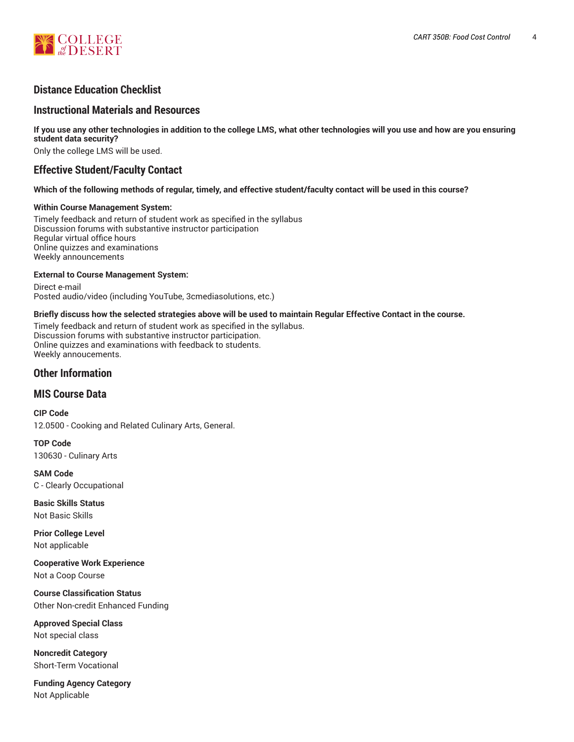

# **Distance Education Checklist**

# **Instructional Materials and Resources**

If you use any other technologies in addition to the college LMS, what other technologies will you use and how are you ensuring **student data security?**

Only the college LMS will be used.

# **Effective Student/Faculty Contact**

#### Which of the following methods of regular, timely, and effective student/faculty contact will be used in this course?

#### **Within Course Management System:**

Timely feedback and return of student work as specified in the syllabus Discussion forums with substantive instructor participation Regular virtual office hours Online quizzes and examinations Weekly announcements

#### **External to Course Management System:**

Direct e-mail Posted audio/video (including YouTube, 3cmediasolutions, etc.)

#### Briefly discuss how the selected strategies above will be used to maintain Regular Effective Contact in the course.

Timely feedback and return of student work as specified in the syllabus. Discussion forums with substantive instructor participation. Online quizzes and examinations with feedback to students. Weekly annoucements.

# **Other Information**

# **MIS Course Data**

**CIP Code** 12.0500 - Cooking and Related Culinary Arts, General.

**TOP Code** 130630 - Culinary Arts

**SAM Code** C - Clearly Occupational

**Basic Skills Status** Not Basic Skills

**Prior College Level** Not applicable

**Cooperative Work Experience** Not a Coop Course

**Course Classification Status** Other Non-credit Enhanced Funding

**Approved Special Class** Not special class

**Noncredit Category** Short-Term Vocational

**Funding Agency Category** Not Applicable